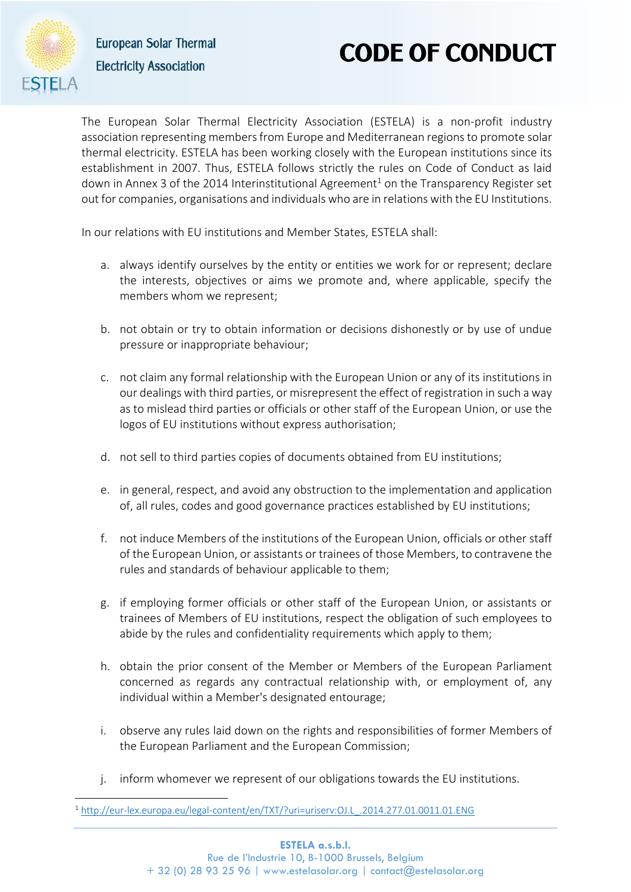

1

**European Solar Thermal Electricity Association** 

## **CODE OF CONDUCT**

The European Solar Thermal Electricity Association (ESTELA) is a non-profit industry association representing members from Europe and Mediterranean regions to promote solar thermal electricity. ESTELA has been working closely with the European institutions since its establishment in 2007. Thus, ESTELA follows strictly the rules on Code of Conduct as laid down in Annex 3 of the 2014 Interinstitutional Agreement<sup>1</sup> on the Transparency Register set out for companies, organisations and individuals who are in relations with the EU Institutions.

In our relations with EU institutions and Member States, ESTELA shall:

- a. always identify ourselves by the entity or entities we work for or represent; declare the interests, objectives or aims we promote and, where applicable, specify the members whom we represent;
- b. not obtain or try to obtain information or decisions dishonestly or by use of undue pressure or inappropriate behaviour;
- c. not claim any formal relationship with the European Union or any of its institutions in our dealings with third parties, or misrepresent the effect of registration in such a way as to mislead third parties or officials or other staff of the European Union, or use the logos of EU institutions without express authorisation;
- d. not sell to third parties copies of documents obtained from EU institutions;
- e. in general, respect, and avoid any obstruction to the implementation and application of, all rules, codes and good governance practices established by EU institutions;
- f. not induce Members of the institutions of the European Union, officials or other staff of the European Union, or assistants or trainees of those Members, to contravene the rules and standards of behaviour applicable to them;
- g. if employing former officials or other staff of the European Union, or assistants or trainees of Members of EU institutions, respect the obligation of such employees to abide by the rules and confidentiality requirements which apply to them;
- h. obtain the prior consent of the Member or Members of the European Parliament concerned as regards any contractual relationship with, or employment of, any individual within a Member's designated entourage;
- i. observe any rules laid down on the rights and responsibilities of former Members of the European Parliament and the European Commission;
- j. inform whomever we represent of our obligations towards the EU institutions.

<sup>1</sup> [http://eur-lex.europa.eu/legal-content/en/TXT/?uri=uriserv:OJ.L\\_.2014.277.01.0011.01.ENG](http://eur-lex.europa.eu/legal-content/en/TXT/?uri=uriserv:OJ.L_.2014.277.01.0011.01.ENG)